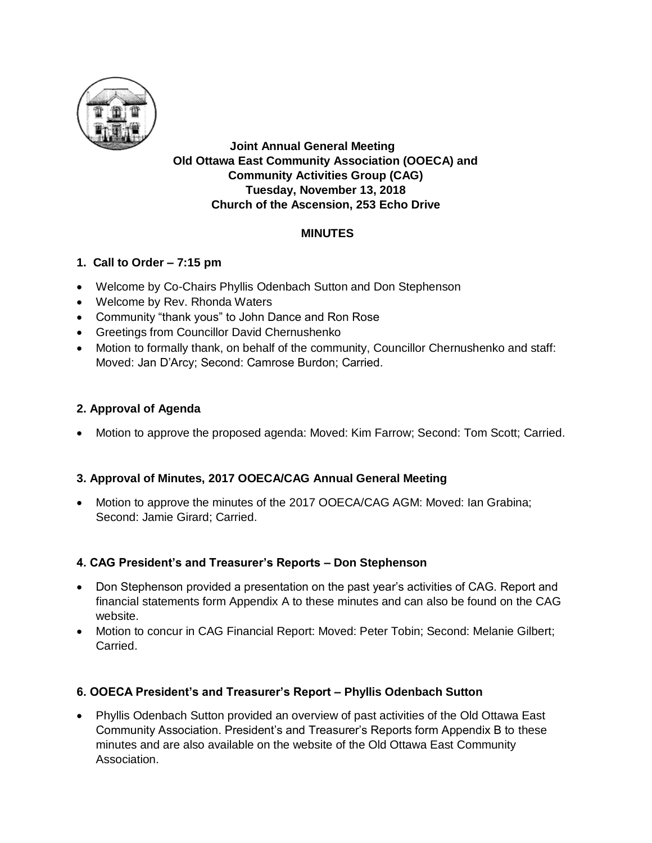

**Joint Annual General Meeting Old Ottawa East Community Association (OOECA) and Community Activities Group (CAG) Tuesday, November 13, 2018 Church of the Ascension, 253 Echo Drive**

### **MINUTES**

### **1. Call to Order – 7:15 pm**

- Welcome by Co-Chairs Phyllis Odenbach Sutton and Don Stephenson
- Welcome by Rev. Rhonda Waters
- Community "thank yous" to John Dance and Ron Rose
- **•** Greetings from Councillor David Chernushenko
- Motion to formally thank, on behalf of the community, Councillor Chernushenko and staff: Moved: Jan D'Arcy; Second: Camrose Burdon; Carried.

### **2. Approval of Agenda**

Motion to approve the proposed agenda: Moved: Kim Farrow; Second: Tom Scott; Carried.

### **3. Approval of Minutes, 2017 OOECA/CAG Annual General Meeting**

 Motion to approve the minutes of the 2017 OOECA/CAG AGM: Moved: Ian Grabina; Second: Jamie Girard; Carried.

### **4. CAG President's and Treasurer's Reports – Don Stephenson**

- Don Stephenson provided a presentation on the past year's activities of CAG. Report and financial statements form Appendix A to these minutes and can also be found on the CAG website.
- Motion to concur in CAG Financial Report: Moved: Peter Tobin; Second: Melanie Gilbert; Carried.

### **6. OOECA President's and Treasurer's Report – Phyllis Odenbach Sutton**

 Phyllis Odenbach Sutton provided an overview of past activities of the Old Ottawa East Community Association. President's and Treasurer's Reports form Appendix B to these minutes and are also available on the website of the Old Ottawa East Community Association.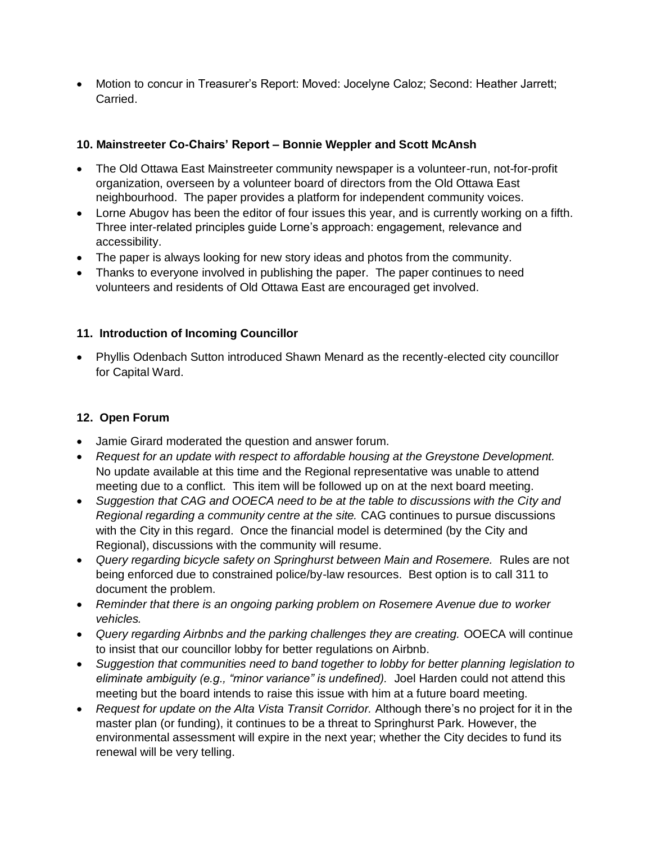Motion to concur in Treasurer's Report: Moved: Jocelyne Caloz; Second: Heather Jarrett; Carried.

## **10. Mainstreeter Co-Chairs' Report – Bonnie Weppler and Scott McAnsh**

- The Old Ottawa East Mainstreeter community newspaper is a volunteer-run, not-for-profit organization, overseen by a volunteer board of directors from the Old Ottawa East neighbourhood. The paper provides a platform for independent community voices.
- Lorne Abugov has been the editor of four issues this year, and is currently working on a fifth. Three inter-related principles guide Lorne's approach: engagement, relevance and accessibility.
- The paper is always looking for new story ideas and photos from the community.
- Thanks to everyone involved in publishing the paper. The paper continues to need volunteers and residents of Old Ottawa East are encouraged get involved.

## **11. Introduction of Incoming Councillor**

 Phyllis Odenbach Sutton introduced Shawn Menard as the recently-elected city councillor for Capital Ward.

## **12. Open Forum**

- Jamie Girard moderated the question and answer forum.
- *Request for an update with respect to affordable housing at the Greystone Development.* No update available at this time and the Regional representative was unable to attend meeting due to a conflict. This item will be followed up on at the next board meeting.
- *Suggestion that CAG and OOECA need to be at the table to discussions with the City and Regional regarding a community centre at the site.* CAG continues to pursue discussions with the City in this regard. Once the financial model is determined (by the City and Regional), discussions with the community will resume.
- *Query regarding bicycle safety on Springhurst between Main and Rosemere.* Rules are not being enforced due to constrained police/by-law resources. Best option is to call 311 to document the problem.
- *Reminder that there is an ongoing parking problem on Rosemere Avenue due to worker vehicles.*
- *Query regarding Airbnbs and the parking challenges they are creating.* OOECA will continue to insist that our councillor lobby for better regulations on Airbnb.
- *Suggestion that communities need to band together to lobby for better planning legislation to eliminate ambiguity (e.g., "minor variance" is undefined).* Joel Harden could not attend this meeting but the board intends to raise this issue with him at a future board meeting.
- *Request for update on the Alta Vista Transit Corridor.* Although there's no project for it in the master plan (or funding), it continues to be a threat to Springhurst Park. However, the environmental assessment will expire in the next year; whether the City decides to fund its renewal will be very telling.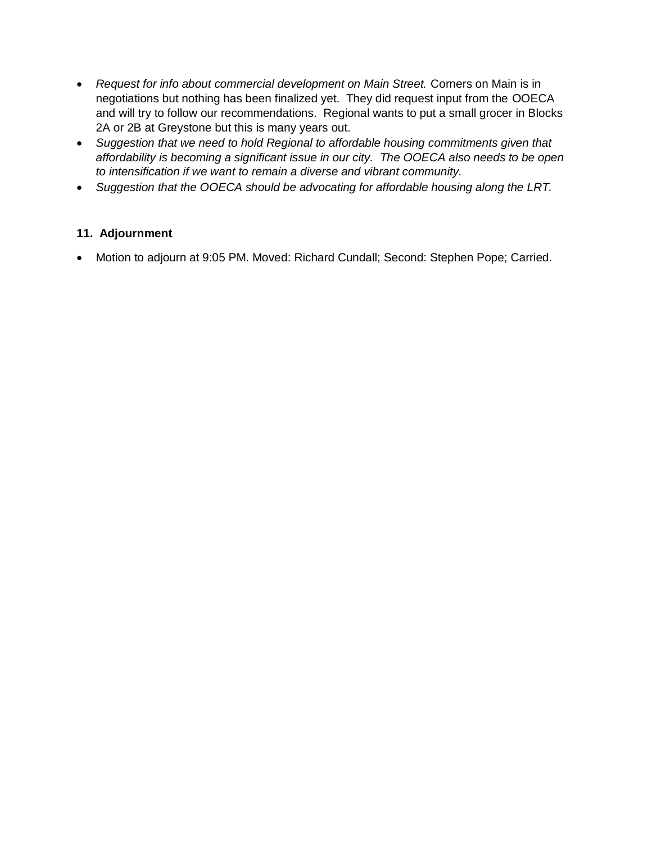- *Request for info about commercial development on Main Street.* Corners on Main is in negotiations but nothing has been finalized yet. They did request input from the OOECA and will try to follow our recommendations. Regional wants to put a small grocer in Blocks 2A or 2B at Greystone but this is many years out.
- *Suggestion that we need to hold Regional to affordable housing commitments given that affordability is becoming a significant issue in our city. The OOECA also needs to be open to intensification if we want to remain a diverse and vibrant community.*
- *Suggestion that the OOECA should be advocating for affordable housing along the LRT.*

### **11. Adjournment**

Motion to adjourn at 9:05 PM. Moved: Richard Cundall; Second: Stephen Pope; Carried.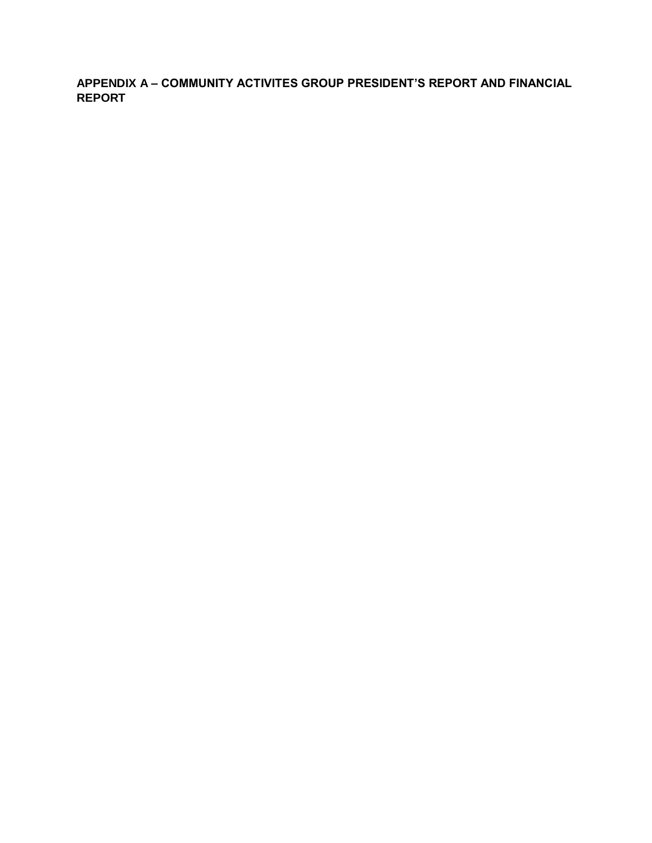**APPENDIX A – COMMUNITY ACTIVITES GROUP PRESIDENT'S REPORT AND FINANCIAL REPORT**